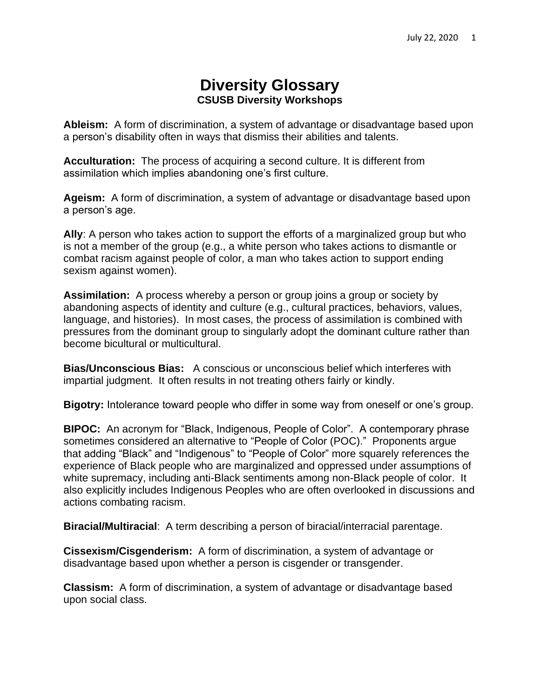## **Diversity Glossary CSUSB Diversity Workshops**

**Ableism:** A form of discrimination, a system of advantage or disadvantage based upon a person's disability often in ways that dismiss their abilities and talents.

**Acculturation:** The process of acquiring a second culture. It is different from assimilation which implies abandoning one's first culture.

**Ageism:** A form of discrimination, a system of advantage or disadvantage based upon a person's age.

**Ally**: A person who takes action to support the efforts of a marginalized group but who is not a member of the group (e.g., a white person who takes actions to dismantle or combat racism against people of color, a man who takes action to support ending sexism against women).

**Assimilation:** A process whereby a person or group joins a group or society by abandoning aspects of identity and culture (e.g., cultural practices, behaviors, values, language, and histories). In most cases, the process of assimilation is combined with pressures from the dominant group to singularly adopt the dominant culture rather than become bicultural or multicultural.

**Bias/Unconscious Bias:** A conscious or unconscious belief which interferes with impartial judgment. It often results in not treating others fairly or kindly.

**Bigotry:** Intolerance toward people who differ in some way from oneself or one's group.

**BIPOC:** An acronym for "Black, Indigenous, People of Color". A contemporary phrase sometimes considered an alternative to "People of Color (POC)." Proponents argue that adding "Black" and "Indigenous" to "People of Color" more squarely references the experience of Black people who are marginalized and oppressed under assumptions of white supremacy, including anti-Black sentiments among non-Black people of color. It also explicitly includes Indigenous Peoples who are often overlooked in discussions and actions combating racism.

**Biracial/Multiracial**: A term describing a person of biracial/interracial parentage.

**Cissexism/Cisgenderism:** A form of discrimination, a system of advantage or disadvantage based upon whether a person is cisgender or transgender.

**Classism:** A form of discrimination, a system of advantage or disadvantage based upon social class.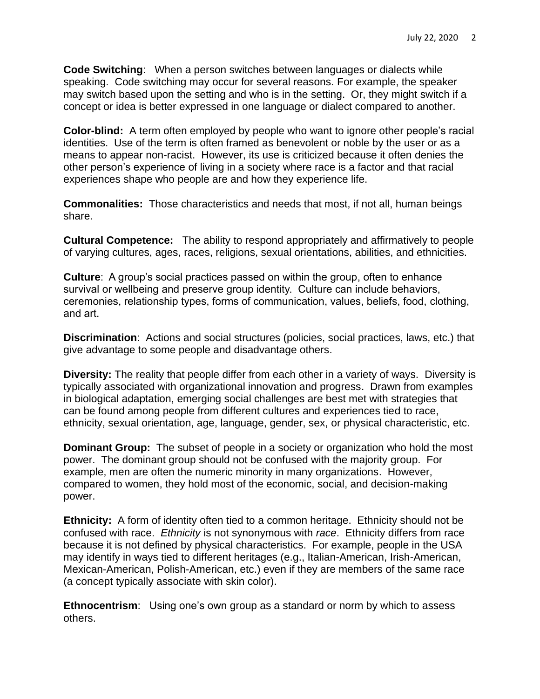**Code Switching**: When a person switches between languages or dialects while speaking. Code switching may occur for several reasons. For example, the speaker may switch based upon the setting and who is in the setting. Or, they might switch if a concept or idea is better expressed in one language or dialect compared to another.

**Color-blind:** A term often employed by people who want to ignore other people's racial identities. Use of the term is often framed as benevolent or noble by the user or as a means to appear non-racist. However, its use is criticized because it often denies the other person's experience of living in a society where race is a factor and that racial experiences shape who people are and how they experience life.

**Commonalities:** Those characteristics and needs that most, if not all, human beings share.

**Cultural Competence:** The ability to respond appropriately and affirmatively to people of varying cultures, ages, races, religions, sexual orientations, abilities, and ethnicities.

**Culture**: A group's social practices passed on within the group, often to enhance survival or wellbeing and preserve group identity. Culture can include behaviors, ceremonies, relationship types, forms of communication, values, beliefs, food, clothing, and art.

**Discrimination**: Actions and social structures (policies, social practices, laws, etc.) that give advantage to some people and disadvantage others.

**Diversity:** The reality that people differ from each other in a variety of ways. Diversity is typically associated with organizational innovation and progress. Drawn from examples in biological adaptation, emerging social challenges are best met with strategies that can be found among people from different cultures and experiences tied to race, ethnicity, sexual orientation, age, language, gender, sex, or physical characteristic, etc.

**Dominant Group:** The subset of people in a society or organization who hold the most power. The dominant group should not be confused with the majority group. For example, men are often the numeric minority in many organizations. However, compared to women, they hold most of the economic, social, and decision-making power.

**Ethnicity:** A form of identity often tied to a common heritage. Ethnicity should not be confused with race. *Ethnicity* is not synonymous with *race*. Ethnicity differs from race because it is not defined by physical characteristics. For example, people in the USA may identify in ways tied to different heritages (e.g., Italian-American, Irish-American, Mexican-American, Polish-American, etc.) even if they are members of the same race (a concept typically associate with skin color).

**Ethnocentrism**: Using one's own group as a standard or norm by which to assess others.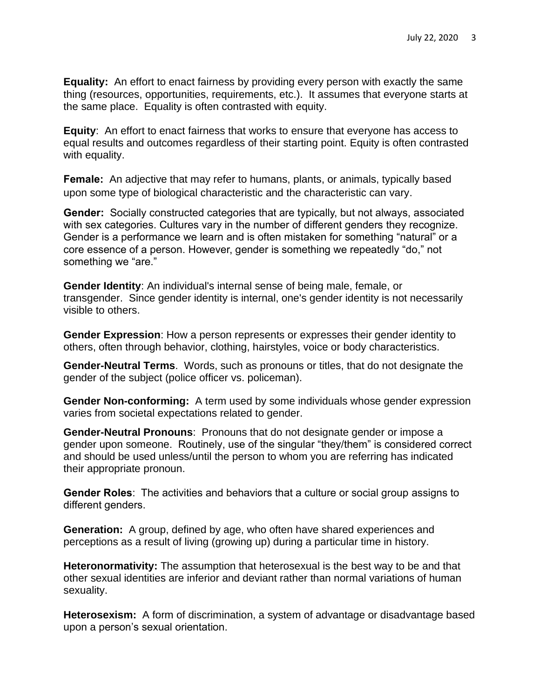**Equality:** An effort to enact fairness by providing every person with exactly the same thing (resources, opportunities, requirements, etc.). It assumes that everyone starts at the same place. Equality is often contrasted with equity.

**Equity**: An effort to enact fairness that works to ensure that everyone has access to equal results and outcomes regardless of their starting point. Equity is often contrasted with equality.

**Female:** An adjective that may refer to humans, plants, or animals, typically based upon some type of biological characteristic and the characteristic can vary.

**Gender:** Socially constructed categories that are typically, but not always, associated with sex categories. Cultures vary in the number of different genders they recognize. Gender is a performance we learn and is often mistaken for something "natural" or a core essence of a person. However, gender is something we repeatedly "do," not something we "are."

**Gender Identity**: An individual's internal sense of being male, female, or transgender. Since gender identity is internal, one's gender identity is not necessarily visible to others.

**Gender Expression**: How a person represents or expresses their gender identity to others, often through behavior, clothing, hairstyles, voice or body characteristics.

**Gender-Neutral Terms**. Words, such as pronouns or titles, that do not designate the gender of the subject (police officer vs. policeman).

**Gender Non-conforming:** A term used by some individuals whose gender expression varies from societal expectations related to gender.

**Gender-Neutral Pronouns**: Pronouns that do not designate gender or impose a gender upon someone. Routinely, use of the singular "they/them" is considered correct and should be used unless/until the person to whom you are referring has indicated their appropriate pronoun.

**Gender Roles**: The activities and behaviors that a culture or social group assigns to different genders.

**Generation:** A group, defined by age, who often have shared experiences and perceptions as a result of living (growing up) during a particular time in history.

**Heteronormativity:** The assumption that heterosexual is the best way to be and that other sexual identities are inferior and deviant rather than normal variations of human sexuality.

**Heterosexism:** A form of discrimination, a system of advantage or disadvantage based upon a person's sexual orientation.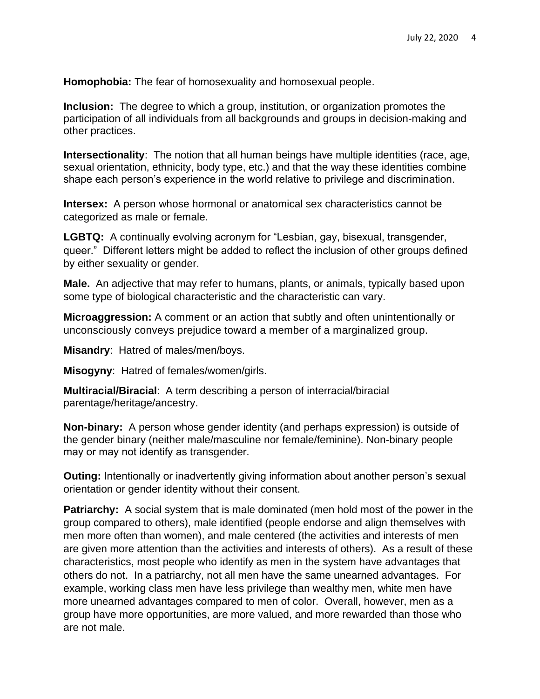**Homophobia:** The fear of homosexuality and homosexual people.

**Inclusion:** The degree to which a group, institution, or organization promotes the participation of all individuals from all backgrounds and groups in decision-making and other practices.

**Intersectionality**: The notion that all human beings have multiple identities (race, age, sexual orientation, ethnicity, body type, etc.) and that the way these identities combine shape each person's experience in the world relative to privilege and discrimination.

**Intersex:** A person whose hormonal or anatomical sex characteristics cannot be categorized as male or female.

**LGBTQ:** A continually evolving acronym for "Lesbian, gay, bisexual, transgender, queer." Different letters might be added to reflect the inclusion of other groups defined by either sexuality or gender.

**Male.** An adjective that may refer to humans, plants, or animals, typically based upon some type of biological characteristic and the characteristic can vary.

**Microaggression:** A comment or an action that subtly and often unintentionally or unconsciously conveys prejudice toward a member of a marginalized group.

**Misandry**: Hatred of males/men/boys.

**Misogyny**: Hatred of females/women/girls.

**Multiracial/Biracial**: A term describing a person of interracial/biracial parentage/heritage/ancestry.

**Non-binary:** A person whose gender identity (and perhaps expression) is outside of the gender binary (neither male/masculine nor female/feminine). Non-binary people may or may not identify as transgender.

**Outing:** Intentionally or inadvertently giving information about another person's sexual orientation or gender identity without their consent.

**Patriarchy:** A social system that is male dominated (men hold most of the power in the group compared to others), male identified (people endorse and align themselves with men more often than women), and male centered (the activities and interests of men are given more attention than the activities and interests of others). As a result of these characteristics, most people who identify as men in the system have advantages that others do not. In a patriarchy, not all men have the same unearned advantages. For example, working class men have less privilege than wealthy men, white men have more unearned advantages compared to men of color. Overall, however, men as a group have more opportunities, are more valued, and more rewarded than those who are not male.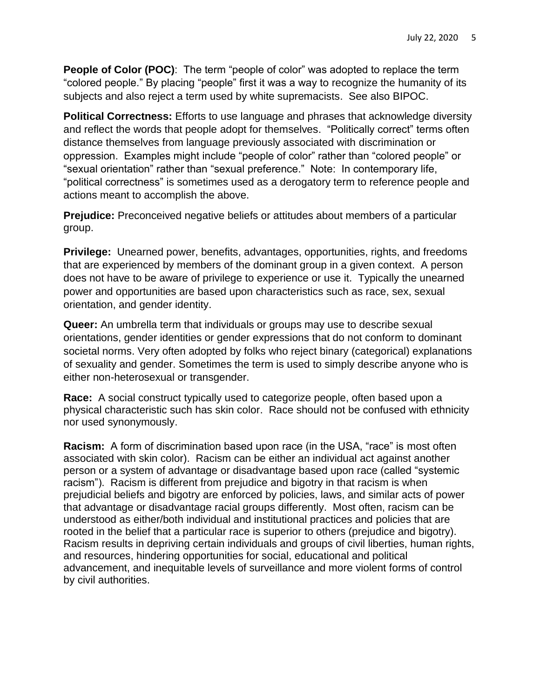**People of Color (POC)**: The term "people of color" was adopted to replace the term "colored people." By placing "people" first it was a way to recognize the humanity of its subjects and also reject a term used by white supremacists. See also BIPOC.

**Political Correctness:** Efforts to use language and phrases that acknowledge diversity and reflect the words that people adopt for themselves. "Politically correct" terms often distance themselves from language previously associated with discrimination or oppression. Examples might include "people of color" rather than "colored people" or "sexual orientation" rather than "sexual preference." Note: In contemporary life, "political correctness" is sometimes used as a derogatory term to reference people and actions meant to accomplish the above.

**Prejudice:** Preconceived negative beliefs or attitudes about members of a particular group.

**Privilege:** Unearned power, benefits, advantages, opportunities, rights, and freedoms that are experienced by members of the dominant group in a given context. A person does not have to be aware of privilege to experience or use it. Typically the unearned power and opportunities are based upon characteristics such as race, sex, sexual orientation, and gender identity.

**Queer:** An umbrella term that individuals or groups may use to describe sexual orientations, gender identities or gender expressions that do not conform to dominant societal norms. Very often adopted by folks who reject binary (categorical) explanations of sexuality and gender. Sometimes the term is used to simply describe anyone who is either non-heterosexual or transgender.

**Race:** A social construct typically used to categorize people, often based upon a physical characteristic such has skin color. Race should not be confused with ethnicity nor used synonymously.

**Racism:** A form of discrimination based upon race (in the USA, "race" is most often associated with skin color). Racism can be either an individual act against another person or a system of advantage or disadvantage based upon race (called "systemic racism"). Racism is different from prejudice and bigotry in that racism is when prejudicial beliefs and bigotry are enforced by policies, laws, and similar acts of power that advantage or disadvantage racial groups differently. Most often, racism can be understood as either/both individual and institutional practices and policies that are rooted in the belief that a particular race is superior to others (prejudice and bigotry). Racism results in depriving certain individuals and groups of civil liberties, human rights, and resources, hindering opportunities for social, educational and political advancement, and inequitable levels of surveillance and more violent forms of control by civil authorities.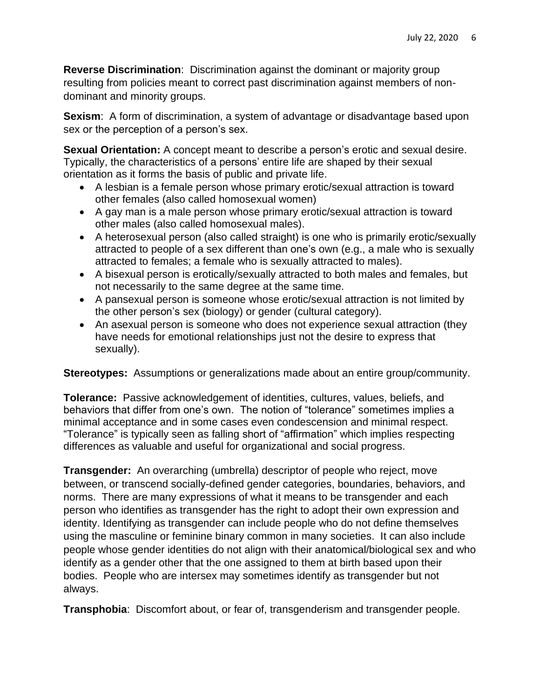**Reverse Discrimination**: Discrimination against the dominant or majority group resulting from policies meant to correct past discrimination against members of nondominant and minority groups.

**Sexism:** A form of discrimination, a system of advantage or disadvantage based upon sex or the perception of a person's sex.

**Sexual Orientation:** A concept meant to describe a person's erotic and sexual desire. Typically, the characteristics of a persons' entire life are shaped by their sexual orientation as it forms the basis of public and private life.

- A lesbian is a female person whose primary erotic/sexual attraction is toward other females (also called homosexual women)
- A gay man is a male person whose primary erotic/sexual attraction is toward other males (also called homosexual males).
- A heterosexual person (also called straight) is one who is primarily erotic/sexually attracted to people of a sex different than one's own (e.g., a male who is sexually attracted to females; a female who is sexually attracted to males).
- A bisexual person is erotically/sexually attracted to both males and females, but not necessarily to the same degree at the same time.
- A pansexual person is someone whose erotic/sexual attraction is not limited by the other person's sex (biology) or gender (cultural category).
- An asexual person is someone who does not experience sexual attraction (they have needs for emotional relationships just not the desire to express that sexually).

**Stereotypes:** Assumptions or generalizations made about an entire group/community.

**Tolerance:** Passive acknowledgement of identities, cultures, values, beliefs, and behaviors that differ from one's own. The notion of "tolerance" sometimes implies a minimal acceptance and in some cases even condescension and minimal respect. "Tolerance" is typically seen as falling short of "affirmation" which implies respecting differences as valuable and useful for organizational and social progress.

**Transgender:** An overarching (umbrella) descriptor of people who reject, move between, or transcend socially-defined gender categories, boundaries, behaviors, and norms. There are many expressions of what it means to be transgender and each person who identifies as transgender has the right to adopt their own expression and identity. Identifying as transgender can include people who do not define themselves using the masculine or feminine binary common in many societies. It can also include people whose gender identities do not align with their anatomical/biological sex and who identify as a gender other that the one assigned to them at birth based upon their bodies. People who are intersex may sometimes identify as transgender but not always.

**Transphobia**: Discomfort about, or fear of, transgenderism and transgender people.